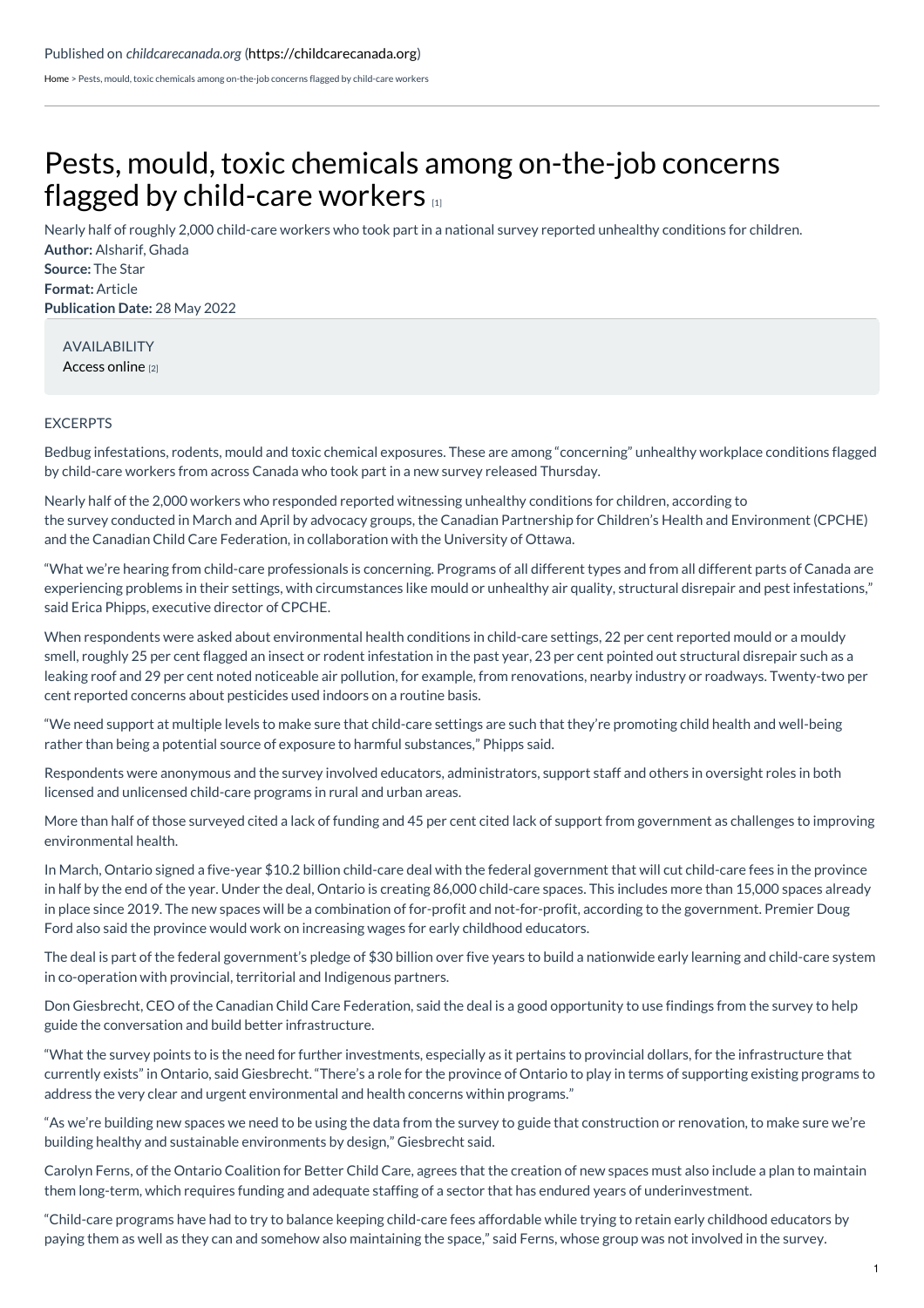[Home](https://childcarecanada.org/) > Pests, mould, toxic chemicals among on-the-job concerns flagged by child-care workers

## Pests, mould, toxic chemicals among [on-the-job](https://childcarecanada.org/documents/child-care-news/22/05/pests-mould-toxic-chemicals-among-job-concerns-flagged-child-care) concerns flagged by child-care workers

**Author:** Alsharif, Ghada **Source:** The Star **Format:** Article **Publication Date:** 28 May 2022 Nearly half of roughly 2,000 child-care workers who took part in a national survey reported unhealthy conditions for children.

AVAILABILITY [Access](https://www.thestar.com/news/canada/2022/04/28/pests-mould-toxic-chemicals-among-on-the-job-concerns-flagged-by-child-care-workers.html) online [2]

## EXCERPTS

Bedbug infestations, rodents, mould and toxic chemical exposures. These are among "concerning" unhealthy workplace conditions flagged by child-care workers from across Canada who took part in a new survey released Thursday.

Nearly half of the 2,000 workers who responded reported witnessing unhealthy conditions for children, according to the survey conducted in March and April by advocacy groups, the Canadian Partnership for Children's Health and Environment (CPCHE) and the Canadian Child Care Federation, in collaboration with the University of Ottawa.

"What we're hearing from child-care professionals is concerning. Programs of all different types and from all different parts of Canada are experiencing problems in their settings, with circumstances like mould or unhealthy air quality, structural disrepair and pest infestations," said Erica Phipps, executive director of CPCHE.

When respondents were asked about environmental health conditions in child-care settings, 22 per cent reported mould or a mouldy smell, roughly 25 per cent flagged an insect or rodent infestation in the past year, 23 per cent pointed out structural disrepair such as a leaking roof and 29 per cent noted noticeable air pollution, for example, from renovations, nearby industry or roadways. Twenty-two per cent reported concerns about pesticides used indoors on a routine basis.

"We need support at multiple levels to make sure that child-care settings are such that they're promoting child health and well-being rather than being a potential source of exposure to harmful substances," Phipps said.

Respondents were anonymous and the survey involved educators, administrators, support staff and others in oversight roles in both licensed and unlicensed child-care programs in rural and urban areas.

More than half of those surveyed cited a lack of funding and 45 per cent cited lack of support from government as challenges to improving environmental health.

In March, Ontario signed a five-year \$10.2 billion child-care deal with the federal government that will cut child-care fees in the province in half by the end of the year. Under the deal, Ontario is creating 86,000 child-care spaces. This includes more than 15,000 spaces already in place since 2019. The new spaces will be a combination of for-profit and not-for-profit, according to the government. Premier Doug Ford also said the province would work on increasing wages for early childhood educators.

The deal is part of the federal government's pledge of \$30 billion over five years to build a nationwide early learning and child-care system in co-operation with provincial, territorial and Indigenous partners.

Don Giesbrecht, CEO of the Canadian Child Care Federation, said the deal is a good opportunity to use findings from the survey to help guide the conversation and build better infrastructure.

"What the survey points to is the need for further investments, especially as it pertains to provincial dollars, for the infrastructure that currently exists" in Ontario, said Giesbrecht. "There's a role for the province of Ontario to play in terms of supporting existing programs to address the very clear and urgent environmental and health concerns within programs."

"As we're building new spaces we need to be using the data from the survey to guide that construction or renovation, to make sure we're building healthy and sustainable environments by design," Giesbrecht said.

Carolyn Ferns, of the Ontario Coalition for Better Child Care, agrees that the creation of new spaces must also include a plan to maintain them long-term, which requires funding and adequate staffing of a sector that has endured years of underinvestment.

"Child-care programs have had to try to balance keeping child-care fees affordable while trying to retain early childhood educators by paying them as well as they can and somehow also maintaining the space," said Ferns, whose group was not involved in the survey.